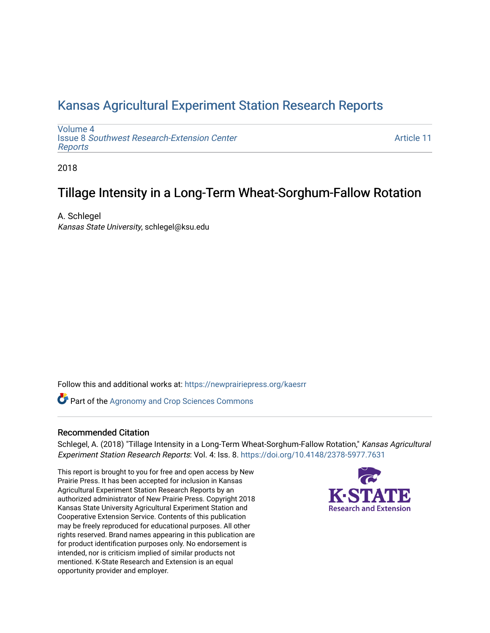## [Kansas Agricultural Experiment Station Research Reports](https://newprairiepress.org/kaesrr)

[Volume 4](https://newprairiepress.org/kaesrr/vol4) Issue 8 [Southwest Research-Extension Center](https://newprairiepress.org/kaesrr/vol4/iss8)  [Reports](https://newprairiepress.org/kaesrr/vol4/iss8)

[Article 11](https://newprairiepress.org/kaesrr/vol4/iss8/11) 

2018

## Tillage Intensity in a Long-Term Wheat-Sorghum-Fallow Rotation

A. Schlegel Kansas State University, schlegel@ksu.edu

Follow this and additional works at: [https://newprairiepress.org/kaesrr](https://newprairiepress.org/kaesrr?utm_source=newprairiepress.org%2Fkaesrr%2Fvol4%2Fiss8%2F11&utm_medium=PDF&utm_campaign=PDFCoverPages) 

Part of the [Agronomy and Crop Sciences Commons](http://network.bepress.com/hgg/discipline/103?utm_source=newprairiepress.org%2Fkaesrr%2Fvol4%2Fiss8%2F11&utm_medium=PDF&utm_campaign=PDFCoverPages) 

#### Recommended Citation

Schlegel, A. (2018) "Tillage Intensity in a Long-Term Wheat-Sorghum-Fallow Rotation," Kansas Agricultural Experiment Station Research Reports: Vol. 4: Iss. 8. <https://doi.org/10.4148/2378-5977.7631>

This report is brought to you for free and open access by New Prairie Press. It has been accepted for inclusion in Kansas Agricultural Experiment Station Research Reports by an authorized administrator of New Prairie Press. Copyright 2018 Kansas State University Agricultural Experiment Station and Cooperative Extension Service. Contents of this publication may be freely reproduced for educational purposes. All other rights reserved. Brand names appearing in this publication are for product identification purposes only. No endorsement is intended, nor is criticism implied of similar products not mentioned. K-State Research and Extension is an equal opportunity provider and employer.

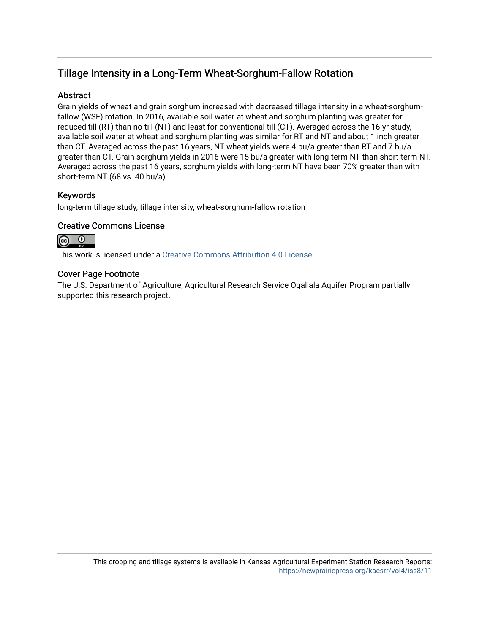## Tillage Intensity in a Long-Term Wheat-Sorghum-Fallow Rotation

### Abstract

Grain yields of wheat and grain sorghum increased with decreased tillage intensity in a wheat-sorghumfallow (WSF) rotation. In 2016, available soil water at wheat and sorghum planting was greater for reduced till (RT) than no-till (NT) and least for conventional till (CT). Averaged across the 16-yr study, available soil water at wheat and sorghum planting was similar for RT and NT and about 1 inch greater than CT. Averaged across the past 16 years, NT wheat yields were 4 bu/a greater than RT and 7 bu/a greater than CT. Grain sorghum yields in 2016 were 15 bu/a greater with long-term NT than short-term NT. Averaged across the past 16 years, sorghum yields with long-term NT have been 70% greater than with short-term NT (68 vs. 40 bu/a).

### Keywords

long-term tillage study, tillage intensity, wheat-sorghum-fallow rotation

### Creative Commons License



This work is licensed under a [Creative Commons Attribution 4.0 License](https://creativecommons.org/licenses/by/4.0/).

### Cover Page Footnote

The U.S. Department of Agriculture, Agricultural Research Service Ogallala Aquifer Program partially supported this research project.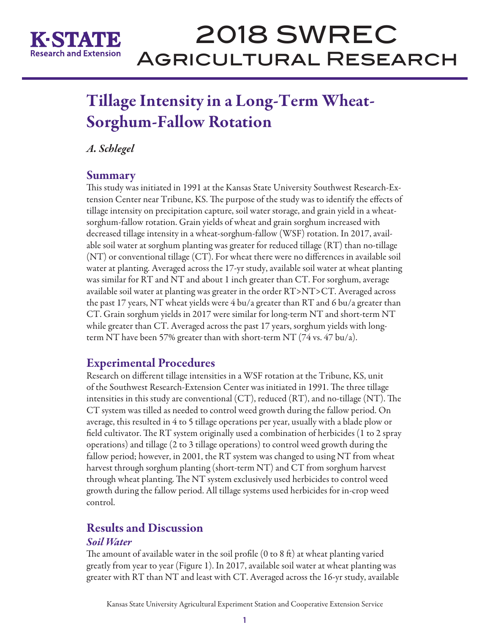

# 2018 SWREC Agricultural Research

# Tillage Intensity in a Long-Term Wheat-Sorghum-Fallow Rotation

*A. Schlegel*

## Summary

This study was initiated in 1991 at the Kansas State University Southwest Research-Extension Center near Tribune, KS. The purpose of the study was to identify the effects of tillage intensity on precipitation capture, soil water storage, and grain yield in a wheatsorghum-fallow rotation. Grain yields of wheat and grain sorghum increased with decreased tillage intensity in a wheat-sorghum-fallow (WSF) rotation. In 2017, available soil water at sorghum planting was greater for reduced tillage (RT) than no-tillage (NT) or conventional tillage (CT). For wheat there were no differences in available soil water at planting. Averaged across the 17-yr study, available soil water at wheat planting was similar for RT and NT and about 1 inch greater than CT. For sorghum, average available soil water at planting was greater in the order RT>NT>CT. Averaged across the past 17 years, NT wheat yields were 4 bu/a greater than RT and 6 bu/a greater than CT. Grain sorghum yields in 2017 were similar for long-term NT and short-term NT while greater than CT. Averaged across the past 17 years, sorghum yields with longterm NT have been 57% greater than with short-term NT (74 vs. 47 bu/a).

## Experimental Procedures

Research on different tillage intensities in a WSF rotation at the Tribune, KS, unit of the Southwest Research-Extension Center was initiated in 1991. The three tillage intensities in this study are conventional (CT), reduced (RT), and no-tillage (NT). The CT system was tilled as needed to control weed growth during the fallow period. On average, this resulted in 4 to 5 tillage operations per year, usually with a blade plow or field cultivator. The RT system originally used a combination of herbicides (1 to 2 spray operations) and tillage (2 to 3 tillage operations) to control weed growth during the fallow period; however, in 2001, the RT system was changed to using NT from wheat harvest through sorghum planting (short-term NT) and CT from sorghum harvest through wheat planting. The NT system exclusively used herbicides to control weed growth during the fallow period. All tillage systems used herbicides for in-crop weed control.

## Results and Discussion

## *Soil Water*

The amount of available water in the soil profile (0 to 8 ft) at wheat planting varied greatly from year to year (Figure 1). In 2017, available soil water at wheat planting was greater with RT than NT and least with CT. Averaged across the 16-yr study, available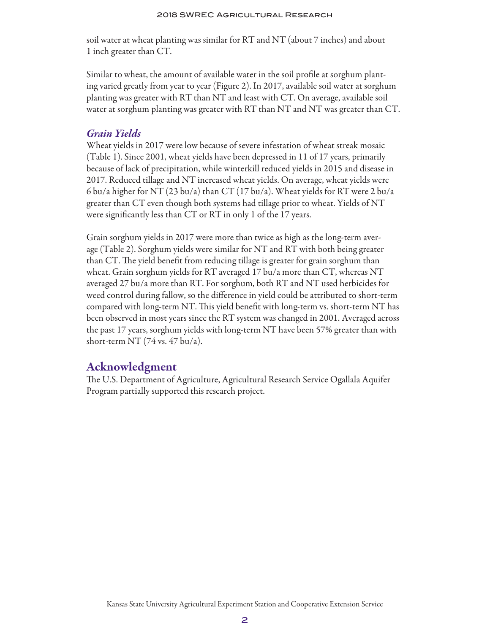soil water at wheat planting was similar for RT and NT (about 7 inches) and about 1 inch greater than CT.

Similar to wheat, the amount of available water in the soil profile at sorghum planting varied greatly from year to year (Figure 2). In 2017, available soil water at sorghum planting was greater with RT than NT and least with CT. On average, available soil water at sorghum planting was greater with RT than NT and NT was greater than CT.

## *Grain Yields*

Wheat yields in 2017 were low because of severe infestation of wheat streak mosaic (Table 1). Since 2001, wheat yields have been depressed in 11 of 17 years, primarily because of lack of precipitation, while winterkill reduced yields in 2015 and disease in 2017. Reduced tillage and NT increased wheat yields. On average, wheat yields were 6 bu/a higher for NT (23 bu/a) than CT (17 bu/a). Wheat yields for RT were 2 bu/a greater than CT even though both systems had tillage prior to wheat. Yields of NT were significantly less than CT or RT in only 1 of the 17 years.

Grain sorghum yields in 2017 were more than twice as high as the long-term average (Table 2). Sorghum yields were similar for NT and RT with both being greater than CT. The yield benefit from reducing tillage is greater for grain sorghum than wheat. Grain sorghum yields for RT averaged 17 bu/a more than CT, whereas NT averaged 27 bu/a more than RT. For sorghum, both RT and NT used herbicides for weed control during fallow, so the difference in yield could be attributed to short-term compared with long-term NT. This yield benefit with long-term vs. short-term NT has been observed in most years since the RT system was changed in 2001. Averaged across the past 17 years, sorghum yields with long-term NT have been 57% greater than with short-term NT (74 vs. 47 bu/a).

## Acknowledgment

The U.S. Department of Agriculture, Agricultural Research Service Ogallala Aquifer Program partially supported this research project.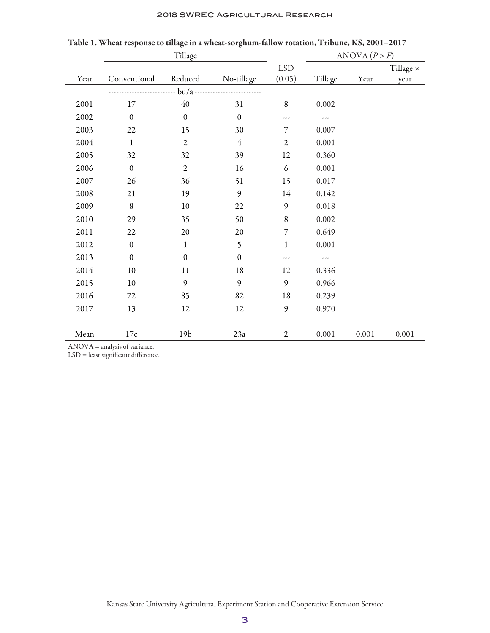| 2018 SWREC AGRICULTURAL RESEARCH |  |
|----------------------------------|--|
|----------------------------------|--|

|      |                  |                  | ANOVA $(P > F)$                 |                |           |       |                  |
|------|------------------|------------------|---------------------------------|----------------|-----------|-------|------------------|
|      |                  |                  |                                 | <b>LSD</b>     |           |       | Tillage $\times$ |
| Year | Conventional     | Reduced          | No-tillage                      | (0.05)         | Tillage   | Year  | year             |
|      |                  |                  | bu/a -------------------------- |                |           |       |                  |
| 2001 | 17               | $40\,$           | 31                              | $\,8\,$        | 0.002     |       |                  |
| 2002 | $\mathbf{0}$     | $\mathbf{0}$     | $\mathbf{0}$                    | ---            |           |       |                  |
| 2003 | $22\,$           | 15               | 30                              | 7              | 0.007     |       |                  |
| 2004 | $\mathbf{1}$     | $\mathbf{2}$     | $\overline{4}$                  | $\mathfrak{2}$ | 0.001     |       |                  |
| 2005 | 32               | 32               | 39                              | 12             | 0.360     |       |                  |
| 2006 | $\boldsymbol{0}$ | $\sqrt{2}$       | 16                              | 6              | 0.001     |       |                  |
| 2007 | 26               | 36               | 51                              | 15             | 0.017     |       |                  |
| 2008 | 21               | 19               | 9                               | 14             | 0.142     |       |                  |
| 2009 | $\,8\,$          | $10\,$           | 22                              | $\mathfrak g$  | $0.018\,$ |       |                  |
| 2010 | 29               | 35               | 50                              | $\,8\,$        | 0.002     |       |                  |
| 2011 | 22               | 20               | $20\,$                          | 7              | 0.649     |       |                  |
| 2012 | $\boldsymbol{0}$ | $\mathbf{1}$     | 5                               | $\mathbf 1$    | 0.001     |       |                  |
| 2013 | $\boldsymbol{0}$ | $\boldsymbol{0}$ | $\boldsymbol{0}$                | ---            | ---       |       |                  |
| 2014 | $10\,$           | 11               | $18\,$                          | 12             | 0.336     |       |                  |
| 2015 | $10\,$           | 9                | 9                               | $\mathfrak{g}$ | 0.966     |       |                  |
| 2016 | $72\,$           | 85               | 82                              | 18             | 0.239     |       |                  |
| 2017 | 13               | 12               | 12                              | 9              | 0.970     |       |                  |
|      |                  |                  |                                 |                |           |       |                  |
| Mean | 17c              | 19 <sub>b</sub>  | 23a                             | $\mathfrak{2}$ | 0.001     | 0.001 | 0.001            |

Table 1. Wheat response to tillage in a wheat-sorghum-fallow rotation, Tribune, KS, 2001–2017

ANOVA = analysis of variance.

LSD = least significant difference.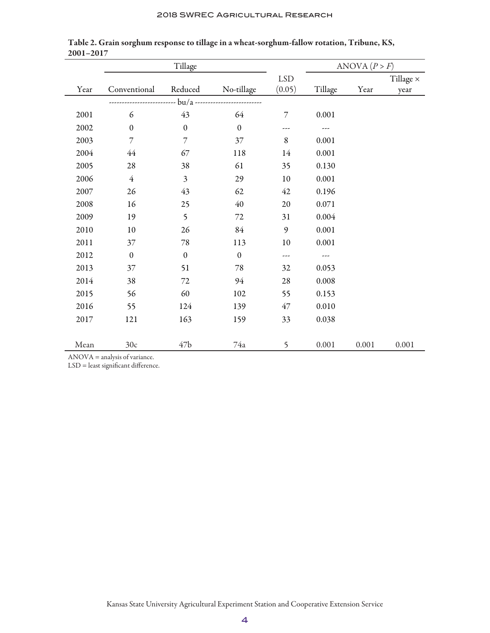|      | Tillage          |                  |                                   |                | ANOVA $(P > F)$ |       |                  |
|------|------------------|------------------|-----------------------------------|----------------|-----------------|-------|------------------|
|      |                  |                  |                                   | <b>LSD</b>     |                 |       | Tillage $\times$ |
| Year | Conventional     | Reduced          | No-tillage                        | (0.05)         | Tillage         | Year  | year             |
|      |                  |                  | - bu/a -------------------------- |                |                 |       |                  |
| 2001 | 6                | 43               | 64                                | $\overline{7}$ | 0.001           |       |                  |
| 2002 | $\boldsymbol{0}$ | $\boldsymbol{0}$ | $\boldsymbol{0}$                  | ---            |                 |       |                  |
| 2003 | $\overline{7}$   | $\overline{7}$   | $37\,$                            | $\,8\,$        | 0.001           |       |                  |
| 2004 | $44$             | 67               | 118                               | 14             | 0.001           |       |                  |
| 2005 | 28               | 38               | 61                                | 35             | 0.130           |       |                  |
| 2006 | $\overline{4}$   | $\mathfrak{Z}$   | 29                                | 10             | 0.001           |       |                  |
| 2007 | 26               | 43               | 62                                | 42             | 0.196           |       |                  |
| 2008 | 16               | 25               | 40                                | 20             | 0.071           |       |                  |
| 2009 | 19               | 5                | $72\,$                            | 31             | 0.004           |       |                  |
| 2010 | $10\,$           | 26               | 84                                | 9              | 0.001           |       |                  |
| 2011 | 37               | $78\,$           | 113                               | 10             | 0.001           |       |                  |
| 2012 | $\boldsymbol{0}$ | $\boldsymbol{0}$ | $\boldsymbol{0}$                  | ---            | ---             |       |                  |
| 2013 | 37               | 51               | $78\,$                            | 32             | 0.053           |       |                  |
| 2014 | 38               | 72               | 94                                | 28             | 0.008           |       |                  |
| 2015 | 56               | 60               | 102                               | 55             | 0.153           |       |                  |
| 2016 | 55               | 124              | 139                               | 47             | 0.010           |       |                  |
| 2017 | 121              | 163              | 159                               | 33             | 0.038           |       |                  |
|      |                  |                  |                                   |                |                 |       |                  |
| Mean | 30c<br>$1 \cdot$ | 47 <sub>b</sub>  | 74a                               | 5              | 0.001           | 0.001 | 0.001            |

Table 2. Grain sorghum response to tillage in a wheat-sorghum-fallow rotation, Tribune, KS, 2001–2017

ANOVA = analysis of variance.

LSD = least significant difference.